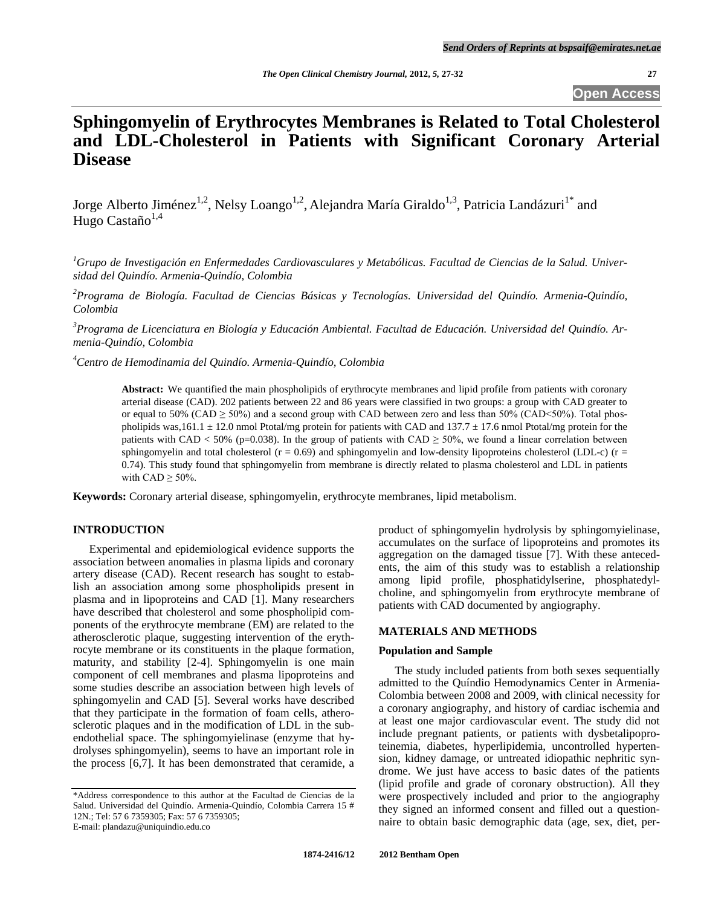**Open Access**

# **Sphingomyelin of Erythrocytes Membranes is Related to Total Cholesterol and LDL-Cholesterol in Patients with Significant Coronary Arterial Disease**

Jorge Alberto Jiménez<sup>1,2</sup>, Nelsy Loango<sup>1,2</sup>, Alejandra María Giraldo<sup>1,3</sup>, Patricia Landázuri<sup>1\*</sup> and Hugo Castaño $1,4$ 

*<sup>1</sup>Grupo de Investigación en Enfermedades Cardiovasculares y Metabólicas. Facultad de Ciencias de la Salud. Universidad del Quindío. Armenia-Quindío, Colombia*

*<sup>2</sup>Programa de Biología. Facultad de Ciencias Básicas y Tecnologías. Universidad del Quindío. Armenia-Quindío, Colombia*

*<sup>3</sup>Programa de Licenciatura en Biología y Educación Ambiental. Facultad de Educación. Universidad del Quindío. Armenia-Quindío, Colombia*

*<sup>4</sup>Centro de Hemodinamia del Quindío. Armenia-Quindío, Colombia*

**Abstract:** We quantified the main phospholipids of erythrocyte membranes and lipid profile from patients with coronary arterial disease (CAD). 202 patients between 22 and 86 years were classified in two groups: a group with CAD greater to or equal to  $50\%$  (CAD  $\geq 50\%$ ) and a second group with CAD between zero and less than  $50\%$  (CAD <50%). Total phospholipids was,161.1  $\pm$  12.0 nmol Ptotal/mg protein for patients with CAD and 137.7  $\pm$  17.6 nmol Ptotal/mg protein for the patients with CAD < 50% (p=0.038). In the group of patients with CAD  $\geq$  50%, we found a linear correlation between sphingomyelin and total cholesterol ( $r = 0.69$ ) and sphingomyelin and low-density lipoproteins cholesterol (LDL-c) ( $r =$ 0.74). This study found that sphingomyelin from membrane is directly related to plasma cholesterol and LDL in patients with  $CAD \geq 50\%$ .

**Keywords:** Coronary arterial disease, sphingomyelin, erythrocyte membranes, lipid metabolism.

## **INTRODUCTION**

Experimental and epidemiological evidence supports the association between anomalies in plasma lipids and coronary artery disease (CAD). Recent research has sought to establish an association among some phospholipids present in plasma and in lipoproteins and CAD [1]. Many researchers have described that cholesterol and some phospholipid components of the erythrocyte membrane (EM) are related to the atherosclerotic plaque, suggesting intervention of the erythrocyte membrane or its constituents in the plaque formation, maturity, and stability [2-4]. Sphingomyelin is one main component of cell membranes and plasma lipoproteins and some studies describe an association between high levels of sphingomyelin and CAD [5]. Several works have described that they participate in the formation of foam cells, atherosclerotic plaques and in the modification of LDL in the subendothelial space. The sphingomyielinase (enzyme that hydrolyses sphingomyelin), seems to have an important role in the process [6,7]. It has been demonstrated that ceramide, a product of sphingomyelin hydrolysis by sphingomyielinase, accumulates on the surface of lipoproteins and promotes its aggregation on the damaged tissue [7]. With these antecedents, the aim of this study was to establish a relationship among lipid profile, phosphatidylserine, phosphatedylcholine, and sphingomyelin from erythrocyte membrane of patients with CAD documented by angiography.

#### **MATERIALS AND METHODS**

### **Population and Sample**

The study included patients from both sexes sequentially admitted to the Quíndio Hemodynamics Center in Armenia-Colombia between 2008 and 2009, with clinical necessity for a coronary angiography, and history of cardiac ischemia and at least one major cardiovascular event. The study did not include pregnant patients, or patients with dysbetalipoproteinemia, diabetes, hyperlipidemia, uncontrolled hypertension, kidney damage, or untreated idiopathic nephritic syndrome. We just have access to basic dates of the patients (lipid profile and grade of coronary obstruction). All they were prospectively included and prior to the angiography they signed an informed consent and filled out a questionnaire to obtain basic demographic data (age, sex, diet, per-

<sup>\*</sup>Address correspondence to this author at the Facultad de Ciencias de la Salud. Universidad del Quindío. Armenia-Quindío, Colombia Carrera 15 # 12N.; Tel: 57 6 7359305; Fax: 57 6 7359305; E-mail: plandazu@uniquindio.edu.co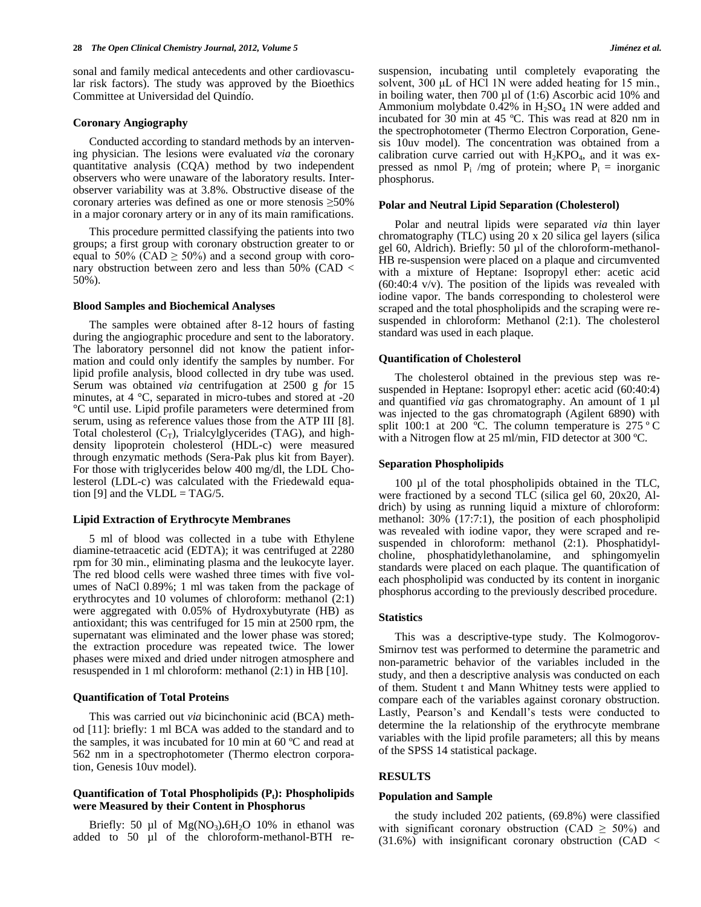sonal and family medical antecedents and other cardiovascular risk factors). The study was approved by the Bioethics Committee at Universidad del Quindío.

#### **Coronary Angiography**

Conducted according to standard methods by an intervening physician. The lesions were evaluated *via* the coronary quantitative analysis (CQA) method by two independent observers who were unaware of the laboratory results. Interobserver variability was at 3.8%. Obstructive disease of the coronary arteries was defined as one or more stenosis ≥50% in a major coronary artery or in any of its main ramifications.

This procedure permitted classifying the patients into two groups; a first group with coronary obstruction greater to or equal to 50% (CAD  $\geq$  50%) and a second group with coronary obstruction between zero and less than 50% (CAD < 50%).

#### **Blood Samples and Biochemical Analyses**

The samples were obtained after 8-12 hours of fasting during the angiographic procedure and sent to the laboratory. The laboratory personnel did not know the patient information and could only identify the samples by number. For lipid profile analysis, blood collected in dry tube was used. Serum was obtained *via* centrifugation at 2500 g *f*or 15 minutes, at 4 °C, separated in micro-tubes and stored at -20 °C until use. Lipid profile parameters were determined from serum, using as reference values those from the ATP III [8]. Total cholesterol  $(C_T)$ , Trialcylglycerides (TAG), and highdensity lipoprotein cholesterol (HDL-c) were measured through enzymatic methods (Sera-Pak plus kit from Bayer). For those with triglycerides below 400 mg/dl, the LDL Cholesterol (LDL-c) was calculated with the Friedewald equation [9] and the VLDL = TAG/5.

#### **Lipid Extraction of Erythrocyte Membranes**

5 ml of blood was collected in a tube with Ethylene diamine-tetraacetic acid (EDTA); it was centrifuged at 2280 rpm for 30 min., eliminating plasma and the leukocyte layer. The red blood cells were washed three times with five volumes of NaCl 0.89%; 1 ml was taken from the package of erythrocytes and 10 volumes of chloroform: methanol (2:1) were aggregated with 0.05% of Hydroxybutyrate (HB) as antioxidant; this was centrifuged for 15 min at 2500 rpm, the supernatant was eliminated and the lower phase was stored; the extraction procedure was repeated twice. The lower phases were mixed and dried under nitrogen atmosphere and resuspended in 1 ml chloroform: methanol (2:1) in HB [10].

#### **Quantification of Total Proteins**

This was carried out *via* bicinchoninic acid (BCA) method [11]: briefly: 1 ml BCA was added to the standard and to the samples, it was incubated for 10 min at 60 ºC and read at 562 nm in a spectrophotometer (Thermo electron corporation, Genesis 10uv model).

## **Quantification of Total Phospholipids (Pt): Phospholipids were Measured by their Content in Phosphorus**

Briefly: 50 µl of  $Mg(NO<sub>3</sub>)$ .6H<sub>2</sub>O 10% in ethanol was added to 50 µl of the chloroform-methanol-BTH resuspension, incubating until completely evaporating the solvent, 300 μL of HCl 1N were added heating for 15 min., in boiling water, then 700 µl of (1:6) Ascorbic acid 10% and Ammonium molybdate  $0.42\%$  in  $H_2SO_4$  1N were added and incubated for 30 min at 45 ºC. This was read at 820 nm in the spectrophotometer (Thermo Electron Corporation, Genesis 10uv model). The concentration was obtained from a calibration curve carried out with  $H_2KPO_4$ , and it was expressed as nmol  $P_i$  /mg of protein; where  $P_i$  = inorganic phosphorus.

#### **Polar and Neutral Lipid Separation (Cholesterol)**

Polar and neutral lipids were separated *via* thin layer chromatography (TLC) using 20 x 20 silica gel layers (silica gel 60, Aldrich). Briefly: 50 µl of the chloroform-methanol-HB re-suspension were placed on a plaque and circumvented with a mixture of Heptane: Isopropyl ether: acetic acid (60:40:4 v/v). The position of the lipids was revealed with iodine vapor. The bands corresponding to cholesterol were scraped and the total phospholipids and the scraping were resuspended in chloroform: Methanol (2:1). The cholesterol standard was used in each plaque.

#### **Quantification of Cholesterol**

The cholesterol obtained in the previous step was resuspended in Heptane: Isopropyl ether: acetic acid (60:40:4) and quantified *via* gas chromatography. An amount of 1 µl was injected to the gas chromatograph (Agilent 6890) with split 100:1 at 200 °C. The column temperature is  $275$  °C with a Nitrogen flow at 25 ml/min, FID detector at 300 °C.

#### **Separation Phospholipids**

100 µl of the total phospholipids obtained in the TLC, were fractioned by a second TLC (silica gel 60, 20x20, Aldrich) by using as running liquid a mixture of chloroform: methanol: 30% (17:7:1), the position of each phospholipid was revealed with iodine vapor, they were scraped and resuspended in chloroform: methanol (2:1). Phosphatidylcholine, phosphatidylethanolamine, and sphingomyelin standards were placed on each plaque. The quantification of each phospholipid was conducted by its content in inorganic phosphorus according to the previously described procedure.

#### **Statistics**

This was a descriptive-type study. The Kolmogorov-Smirnov test was performed to determine the parametric and non-parametric behavior of the variables included in the study, and then a descriptive analysis was conducted on each of them. Student t and Mann Whitney tests were applied to compare each of the variables against coronary obstruction. Lastly, Pearson's and Kendall's tests were conducted to determine the la relationship of the erythrocyte membrane variables with the lipid profile parameters; all this by means of the SPSS 14 statistical package.

## **RESULTS**

#### **Population and Sample**

the study included 202 patients, (69.8%) were classified with significant coronary obstruction (CAD  $\geq$  50%) and  $(31.6\%)$  with insignificant coronary obstruction (CAD <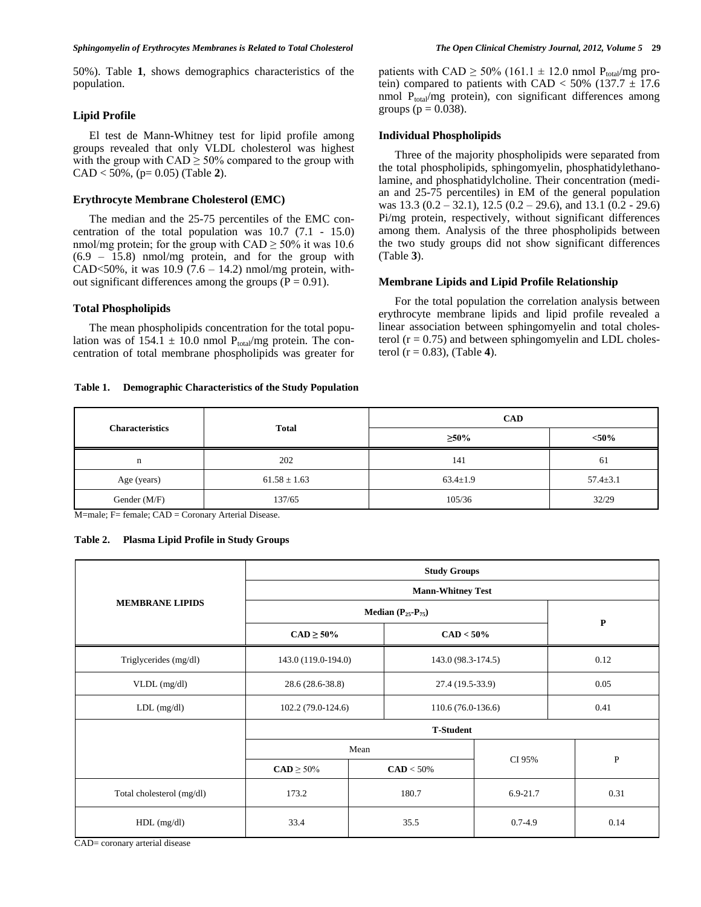50%). Table **1**, shows demographics characteristics of the population.

## **Lipid Profile**

El test de Mann-Whitney test for lipid profile among groups revealed that only VLDL cholesterol was highest with the group with  $CAD \geq 50\%$  compared to the group with CAD < 50%, (p= 0.05) (Table **2**).

## **Erythrocyte Membrane Cholesterol (EMC)**

The median and the 25-75 percentiles of the EMC concentration of the total population was 10.7 (7.1 - 15.0) nmol/mg protein; for the group with  $CAD \geq 50\%$  it was 10.6 (6.9 – 15.8) nmol/mg protein, and for the group with CAD<50%, it was  $10.9$  (7.6 – 14.2) nmol/mg protein, without significant differences among the groups ( $P = 0.91$ ).

## **Total Phospholipids**

The mean phospholipids concentration for the total population was of  $154.1 \pm 10.0$  nmol  $P_{total}/mg$  protein. The concentration of total membrane phospholipids was greater for

#### **Table 1. Demographic Characteristics of the Study Population**

patients with CAD  $\geq$  50% (161.1  $\pm$  12.0 nmol P<sub>total</sub>/mg protein) compared to patients with CAD <  $50\%$  (137.7  $\pm$  17.6 nmol  $P_{total}/mg$  protein), con significant differences among groups ( $p = 0.038$ ).

#### **Individual Phospholipids**

Three of the majority phospholipids were separated from the total phospholipids, sphingomyelin, phosphatidylethanolamine, and phosphatidylcholine. Their concentration (median and 25-75 percentiles) in EM of the general population was 13.3 (0.2 – 32.1), 12.5 (0.2 – 29.6), and 13.1 (0.2 - 29.6) Pi/mg protein, respectively, without significant differences among them. Analysis of the three phospholipids between the two study groups did not show significant differences (Table **3**).

### **Membrane Lipids and Lipid Profile Relationship**

For the total population the correlation analysis between erythrocyte membrane lipids and lipid profile revealed a linear association between sphingomyelin and total cholesterol  $(r = 0.75)$  and between sphingomyelin and LDL cholesterol (r = 0.83), (Table **4**).

| <b>Characteristics</b> | <b>Total</b>     | <b>CAD</b>     |                |  |  |  |
|------------------------|------------------|----------------|----------------|--|--|--|
|                        |                  | $\geq 50\%$    | $< 50\%$       |  |  |  |
| n                      | 202              | 141            | 61             |  |  |  |
| Age (years)            | $61.58 \pm 1.63$ | $63.4 \pm 1.9$ | $57.4 \pm 3.1$ |  |  |  |
| Gender (M/F)           | 137/65           | 105/36         | 32/29          |  |  |  |

M=male; F= female; CAD = Coronary Arterial Disease.

| Table 2. | <b>Plasma Lipid Profile in Study Groups</b> |  |  |  |  |  |
|----------|---------------------------------------------|--|--|--|--|--|
|----------|---------------------------------------------|--|--|--|--|--|

|                           | <b>Study Groups</b>      |      |                     |             |              |  |  |
|---------------------------|--------------------------|------|---------------------|-------------|--------------|--|--|
|                           | <b>Mann-Whitney Test</b> |      |                     |             |              |  |  |
| <b>MEMBRANE LIPIDS</b>    | Median $(P_{25}-P_{75})$ |      |                     |             |              |  |  |
|                           | $CAD \ge 50\%$           |      | $CAD < 50\%$        |             | ${\bf P}$    |  |  |
| Triglycerides (mg/dl)     | 143.0 (119.0-194.0)      |      | 143.0 (98.3-174.5)  |             | 0.12         |  |  |
| $VLDL$ (mg/dl)            | 28.6 (28.6-38.8)         |      | 27.4 (19.5-33.9)    |             | 0.05         |  |  |
| $LDL$ (mg/dl)             | 102.2 (79.0-124.6)       |      | $110.6(76.0-136.6)$ |             | 0.41         |  |  |
|                           | <b>T-Student</b>         |      |                     |             |              |  |  |
|                           |                          | Mean |                     |             |              |  |  |
|                           | $CAD \ge 50\%$           |      | $CAD < 50\%$        | CI 95%      | $\mathbf{P}$ |  |  |
| Total cholesterol (mg/dl) | 173.2                    |      | 180.7               | 6.9-21.7    | 0.31         |  |  |
| $HDL$ (mg/dl)             | 33.4                     |      | 35.5                | $0.7 - 4.9$ | 0.14         |  |  |

CAD= coronary arterial disease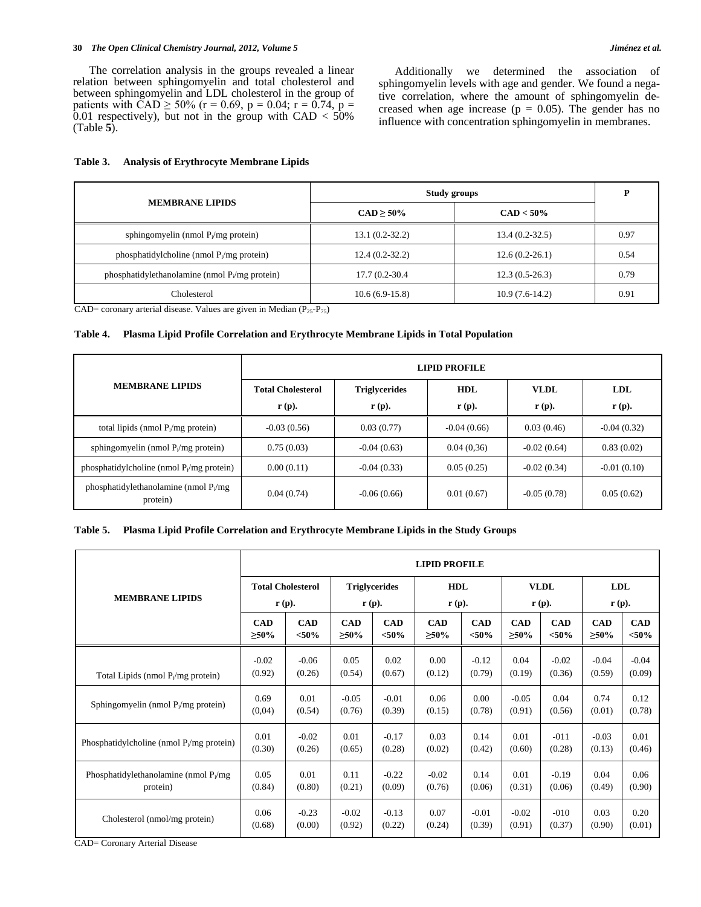#### **30** *The Open Clinical Chemistry Journal, 2012, Volume 5 Jiménez et al.*

Additionally we determined the association of sphingomyelin levels with age and gender. We found a negative correlation, where the amount of sphingomyelin decreased when age increase ( $p = 0.05$ ). The gender has no influence with concentration sphingomyelin in membranes.

|                                                  | Study groups     | D                |      |
|--------------------------------------------------|------------------|------------------|------|
| <b>MEMBRANE LIPIDS</b>                           | $CAD > 50\%$     | $CAD < 50\%$     |      |
| sphingomyelin (nmol $P_i/mg$ protein)            | $13.1(0.2-32.2)$ | $13.4(0.2-32.5)$ | 0.97 |
| phosphatidylcholine (nmol $P_i/mg$ protein)      | $12.4(0.2-32.2)$ | $12.6(0.2-26.1)$ | 0.54 |
| phosphatidylethanolamine (nmol $P_i/mg$ protein) | 17.7 (0.2-30.4)  | $12.3(0.5-26.3)$ | 0.79 |
| Cholesterol                                      | $10.6(6.9-15.8)$ | $10.9(7.6-14.2)$ | 0.91 |

## **Table 3. Analysis of Erythrocyte Membrane Lipids**

CAD= coronary arterial disease. Values are given in Median  $(P_{25}-P_{75})$ 

## **Table 4. Plasma Lipid Profile Correlation and Erythrocyte Membrane Lipids in Total Population**

|                                                     | <b>LIPID PROFILE</b>                                                                       |               |                                 |                                  |                                 |  |  |  |
|-----------------------------------------------------|--------------------------------------------------------------------------------------------|---------------|---------------------------------|----------------------------------|---------------------------------|--|--|--|
| <b>MEMBRANE LIPIDS</b>                              | <b>Total Cholesterol</b><br><b>Triglycerides</b><br>$\mathbf{r}$ (p).<br>$\mathbf{r}$ (p). |               | <b>HDL</b><br>$\mathbf{r}$ (p). | <b>VLDL</b><br>$\mathbf{r}$ (p). | <b>LDL</b><br>$\mathbf{r}$ (p). |  |  |  |
| total lipids (nmol $P_i/mg$ protein)                | $-0.03(0.56)$                                                                              | 0.03(0.77)    | $-0.04(0.66)$                   | 0.03(0.46)                       | $-0.04(0.32)$                   |  |  |  |
| sphingomyelin (nmol $P_i/mg$ protein)               | 0.75(0.03)                                                                                 | $-0.04(0.63)$ | 0.04(0.36)                      | $-0.02(0.64)$                    | 0.83(0.02)                      |  |  |  |
| phosphatidylcholine (nmol $P_i/mg$ protein)         | 0.00(0.11)                                                                                 | $-0.04(0.33)$ | 0.05(0.25)                      | $-0.02(0.34)$                    | $-0.01(0.10)$                   |  |  |  |
| phosphatidylethanolamine (nmol $P_1/mg$<br>protein) | 0.04(0.74)                                                                                 | $-0.06(0.66)$ | 0.01(0.67)                      | $-0.05(0.78)$                    | 0.05(0.62)                      |  |  |  |

## **Table 5. Plasma Lipid Profile Correlation and Erythrocyte Membrane Lipids in the Study Groups**

|                                             | <b>LIPID PROFILE</b>     |            |                      |            |                   |            |                   |            |                   |            |
|---------------------------------------------|--------------------------|------------|----------------------|------------|-------------------|------------|-------------------|------------|-------------------|------------|
| <b>MEMBRANE LIPIDS</b>                      | <b>Total Cholesterol</b> |            | <b>Triglycerides</b> |            | <b>HDL</b>        |            | <b>VLDL</b>       |            | <b>LDL</b>        |            |
|                                             | $\mathbf{r}$ (p).        |            | $\mathbf{r}$ (p).    |            | $\mathbf{r}$ (p). |            | $\mathbf{r}$ (p). |            | $\mathbf{r}$ (p). |            |
|                                             | <b>CAD</b>               | <b>CAD</b> | <b>CAD</b>           | <b>CAD</b> | <b>CAD</b>        | <b>CAD</b> | <b>CAD</b>        | <b>CAD</b> | <b>CAD</b>        | <b>CAD</b> |
|                                             | $\geq 50\%$              | $<$ 50%    | $\geq 50\%$          | $< 50\%$   | $\geq 50\%$       | $<$ 50%    | $\geq 50\%$       | ${<}50\%$  | $\geq 50\%$       | ${<}50\%$  |
| Total Lipids (nmol $P_i/mg$ protein)        | $-0.02$                  | $-0.06$    | 0.05                 | 0.02       | 0.00              | $-0.12$    | 0.04              | $-0.02$    | $-0.04$           | $-0.04$    |
|                                             | (0.92)                   | (0.26)     | (0.54)               | (0.67)     | (0.12)            | (0.79)     | (0.19)            | (0.36)     | (0.59)            | (0.09)     |
| Sphingomyelin (nmol $P_i/mg$ protein)       | 0.69                     | 0.01       | $-0.05$              | $-0.01$    | 0.06              | 0.00       | $-0.05$           | 0.04       | 0.74              | 0.12       |
|                                             | (0.04)                   | (0.54)     | (0.76)               | (0.39)     | (0.15)            | (0.78)     | (0.91)            | (0.56)     | (0.01)            | (0.78)     |
| Phosphatidylcholine (nmol $P_i/mg$ protein) | 0.01                     | $-0.02$    | 0.01                 | $-0.17$    | 0.03              | 0.14       | 0.01              | $-011$     | $-0.03$           | 0.01       |
|                                             | (0.30)                   | (0.26)     | (0.65)               | (0.28)     | (0.02)            | (0.42)     | (0.60)            | (0.28)     | (0.13)            | (0.46)     |
| Phosphatidylethanolamine (nmol $P_1/mg$     | 0.05                     | 0.01       | 0.11                 | $-0.22$    | $-0.02$           | 0.14       | 0.01              | $-0.19$    | 0.04              | 0.06       |
| protein)                                    | (0.84)                   | (0.80)     | (0.21)               | (0.09)     | (0.76)            | (0.06)     | (0.31)            | (0.06)     | (0.49)            | (0.90)     |
| Cholesterol (nmol/mg protein)               | 0.06                     | $-0.23$    | $-0.02$              | $-0.13$    | 0.07              | $-0.01$    | $-0.02$           | $-010$     | 0.03              | 0.20       |
|                                             | (0.68)                   | (0.00)     | (0.92)               | (0.22)     | (0.24)            | (0.39)     | (0.91)            | (0.37)     | (0.90)            | (0.01)     |

CAD= Coronary Arterial Disease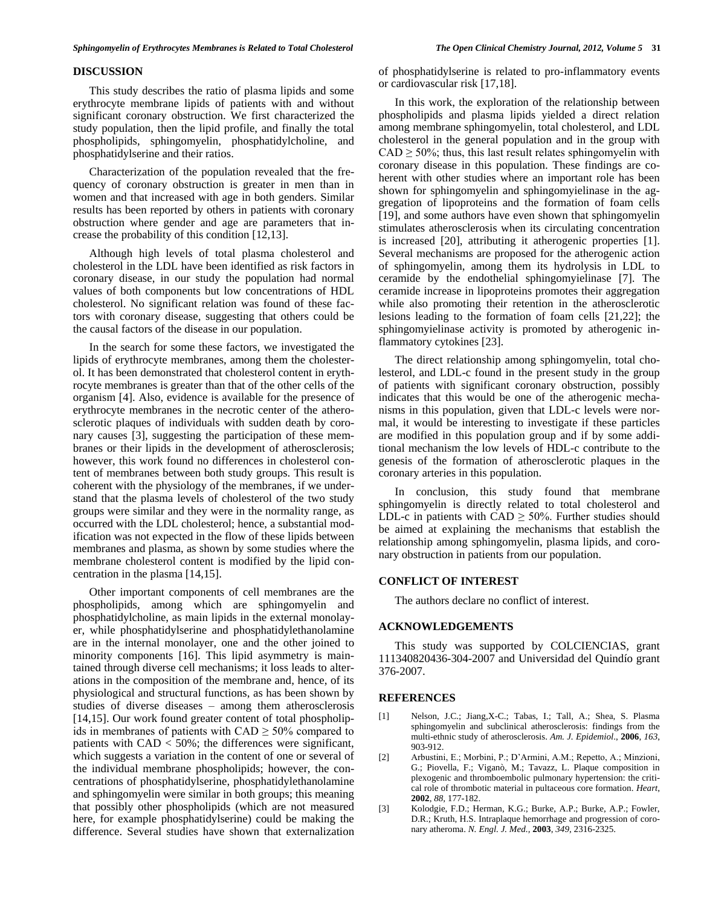## **DISCUSSION**

This study describes the ratio of plasma lipids and some erythrocyte membrane lipids of patients with and without significant coronary obstruction. We first characterized the study population, then the lipid profile, and finally the total phospholipids, sphingomyelin, phosphatidylcholine, and phosphatidylserine and their ratios.

Characterization of the population revealed that the frequency of coronary obstruction is greater in men than in women and that increased with age in both genders. Similar results has been reported by others in patients with coronary obstruction where gender and age are parameters that increase the probability of this condition [12,13].

Although high levels of total plasma cholesterol and cholesterol in the LDL have been identified as risk factors in coronary disease, in our study the population had normal values of both components but low concentrations of HDL cholesterol. No significant relation was found of these factors with coronary disease, suggesting that others could be the causal factors of the disease in our population.

In the search for some these factors, we investigated the lipids of erythrocyte membranes, among them the cholesterol. It has been demonstrated that cholesterol content in erythrocyte membranes is greater than that of the other cells of the organism [4]. Also, evidence is available for the presence of erythrocyte membranes in the necrotic center of the atherosclerotic plaques of individuals with sudden death by coronary causes [3], suggesting the participation of these membranes or their lipids in the development of atherosclerosis; however, this work found no differences in cholesterol content of membranes between both study groups. This result is coherent with the physiology of the membranes, if we understand that the plasma levels of cholesterol of the two study groups were similar and they were in the normality range, as occurred with the LDL cholesterol; hence, a substantial modification was not expected in the flow of these lipids between membranes and plasma, as shown by some studies where the membrane cholesterol content is modified by the lipid concentration in the plasma [14,15].

Other important components of cell membranes are the phospholipids, among which are sphingomyelin and phosphatidylcholine, as main lipids in the external monolayer, while phosphatidylserine and phosphatidylethanolamine are in the internal monolayer, one and the other joined to minority components [16]. This lipid asymmetry is maintained through diverse cell mechanisms; it loss leads to alterations in the composition of the membrane and, hence, of its physiological and structural functions, as has been shown by studies of diverse diseases – among them atherosclerosis [14,15]. Our work found greater content of total phospholipids in membranes of patients with  $CAD \geq 50\%$  compared to patients with CAD < 50%; the differences were significant, which suggests a variation in the content of one or several of the individual membrane phospholipids; however, the concentrations of phosphatidylserine, phosphatidylethanolamine and sphingomyelin were similar in both groups; this meaning that possibly other phospholipids (which are not measured here, for example phosphatidylserine) could be making the difference. Several studies have shown that externalization

of phosphatidylserine is related to pro-inflammatory events or cardiovascular risk [17,18].

In this work, the exploration of the relationship between phospholipids and plasma lipids yielded a direct relation among membrane sphingomyelin, total cholesterol, and LDL cholesterol in the general population and in the group with  $CAD \geq 50\%$ ; thus, this last result relates sphingomyelin with coronary disease in this population. These findings are coherent with other studies where an important role has been shown for sphingomyelin and sphingomyielinase in the aggregation of lipoproteins and the formation of foam cells [19], and some authors have even shown that sphingomyelin stimulates atherosclerosis when its circulating concentration is increased [20], attributing it atherogenic properties [1]. Several mechanisms are proposed for the atherogenic action of sphingomyelin, among them its hydrolysis in LDL to ceramide by the endothelial sphingomyielinase [7]. The ceramide increase in lipoproteins promotes their aggregation while also promoting their retention in the atherosclerotic lesions leading to the formation of foam cells [21,22]; the sphingomyielinase activity is promoted by atherogenic inflammatory cytokines [23].

The direct relationship among sphingomyelin, total cholesterol, and LDL-c found in the present study in the group of patients with significant coronary obstruction, possibly indicates that this would be one of the atherogenic mechanisms in this population, given that LDL-c levels were normal, it would be interesting to investigate if these particles are modified in this population group and if by some additional mechanism the low levels of HDL-c contribute to the genesis of the formation of atherosclerotic plaques in the coronary arteries in this population.

In conclusion, this study found that membrane sphingomyelin is directly related to total cholesterol and LDL-c in patients with  $CAD \geq 50\%$ . Further studies should be aimed at explaining the mechanisms that establish the relationship among sphingomyelin, plasma lipids, and coronary obstruction in patients from our population.

## **CONFLICT OF INTEREST**

The authors declare no conflict of interest.

## **ACKNOWLEDGEMENTS**

This study was supported by COLCIENCIAS, grant 111340820436-304-2007 and Universidad del Quindío grant 376-2007.

## **REFERENCES**

- [1] Nelson, J.C.; Jiang,X-C.; Tabas, I.; Tall, A.; Shea, S. Plasma sphingomyelin and subclinical atherosclerosis: findings from the multi-ethnic study of atherosclerosis. *Am. J. Epidemiol*., **2006**, *163*, 903-912.
- [2] Arbustini, E.; Morbini, P.; D'Armini, A.M.; Repetto, A.; Minzioni, G.; Piovella, F.; Viganò, M.; Tavazz, L. Plaque composition in plexogenic and thromboembolic pulmonary hypertension: the critical role of thrombotic material in pultaceous core formation. *Heart*, **2002**, *88,* 177-182.
- [3] Kolodgie, F.D.; Herman, K.G.; Burke, A.P.; Burke, A.P.; Fowler, D.R.; Kruth, H.S. Intraplaque hemorrhage and progression of coronary atheroma. *N. Engl. J. Med.,* **2003**, *349*, 2316-2325.